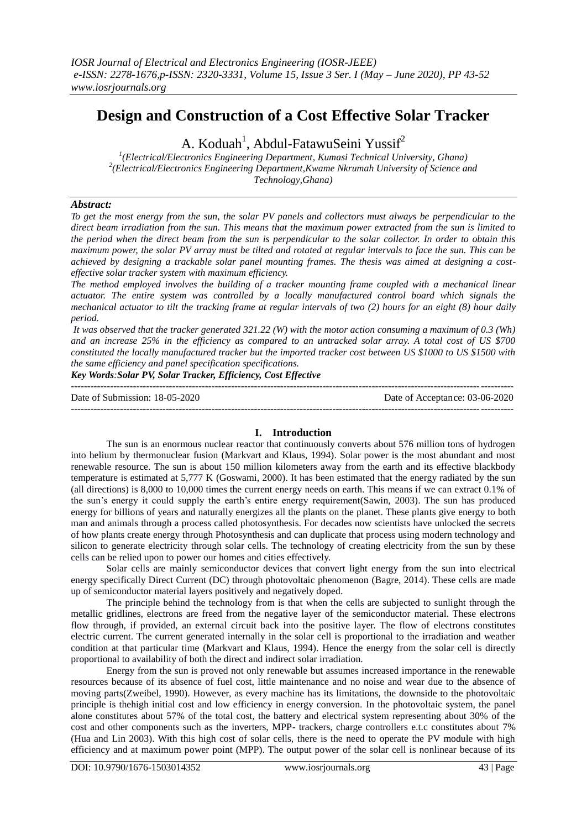# **Design and Construction of a Cost Effective Solar Tracker**

A. Koduah<sup>1</sup>, Abdul-FatawuSeini Yussif<sup>2</sup>

*1 (Electrical/Electronics Engineering Department, Kumasi Technical University, Ghana) 2 (Electrical/Electronics Engineering Department,Kwame Nkrumah University of Science and Technology,Ghana)* 

## *Abstract:*

*To get the most energy from the sun, the solar PV panels and collectors must always be perpendicular to the direct beam irradiation from the sun. This means that the maximum power extracted from the sun is limited to the period when the direct beam from the sun is perpendicular to the solar collector. In order to obtain this maximum power, the solar PV array must be tilted and rotated at regular intervals to face the sun. This can be achieved by designing a trackable solar panel mounting frames. The thesis was aimed at designing a costeffective solar tracker system with maximum efficiency.*

*The method employed involves the building of a tracker mounting frame coupled with a mechanical linear actuator. The entire system was controlled by a locally manufactured control board which signals the mechanical actuator to tilt the tracking frame at regular intervals of two (2) hours for an eight (8) hour daily period.*

*It was observed that the tracker generated 321.22 (W) with the motor action consuming a maximum of 0.3 (Wh) and an increase 25% in the efficiency as compared to an untracked solar array. A total cost of US \$700 constituted the locally manufactured tracker but the imported tracker cost between US \$1000 to US \$1500 with the same efficiency and panel specification specifications.*

*Key Words:Solar PV, Solar Tracker, Efficiency, Cost Effective*

 $-1.1$ 

---------------------------------------------------------------------------------------------------------------------------------------

Date of Submission: 18-05-2020 Date of Acceptance: 03-06-2020

## **I. Introduction**

The sun is an enormous nuclear reactor that continuously converts about 576 million tons of hydrogen into helium by thermonuclear fusion (Markvart and Klaus, 1994). Solar power is the most abundant and most renewable resource. The sun is about 150 million kilometers away from the earth and its effective blackbody temperature is estimated at 5,777 K (Goswami, 2000). It has been estimated that the energy radiated by the sun (all directions) is 8,000 to 10,000 times the current energy needs on earth. This means if we can extract 0.1% of the sun's energy it could supply the earth's entire energy requirement(Sawin, 2003). The sun has produced energy for billions of years and naturally energizes all the plants on the planet. These plants give energy to both man and animals through a process called photosynthesis. For decades now scientists have unlocked the secrets of how plants create energy through Photosynthesis and can duplicate that process using modern technology and silicon to generate electricity through solar cells. The technology of creating electricity from the sun by these cells can be relied upon to power our homes and cities effectively.

Solar cells are mainly semiconductor devices that convert light energy from the sun into electrical energy specifically Direct Current (DC) through photovoltaic phenomenon (Bagre, 2014). These cells are made up of semiconductor material layers positively and negatively doped.

The principle behind the technology from is that when the cells are subjected to sunlight through the metallic gridlines, electrons are freed from the negative layer of the semiconductor material. These electrons flow through, if provided, an external circuit back into the positive layer. The flow of electrons constitutes electric current. The current generated internally in the solar cell is proportional to the irradiation and weather condition at that particular time (Markvart and Klaus, 1994). Hence the energy from the solar cell is directly proportional to availability of both the direct and indirect solar irradiation.

Energy from the sun is proved not only renewable but assumes increased importance in the renewable resources because of its absence of fuel cost, little maintenance and no noise and wear due to the absence of moving parts(Zweibel, 1990). However, as every machine has its limitations, the downside to the photovoltaic principle is thehigh initial cost and low efficiency in energy conversion. In the photovoltaic system, the panel alone constitutes about 57% of the total cost, the battery and electrical system representing about 30% of the cost and other components such as the inverters, MPP- trackers, charge controllers e.t.c constitutes about 7% (Hua and Lin 2003). With this high cost of solar cells, there is the need to operate the PV module with high efficiency and at maximum power point (MPP). The output power of the solar cell is nonlinear because of its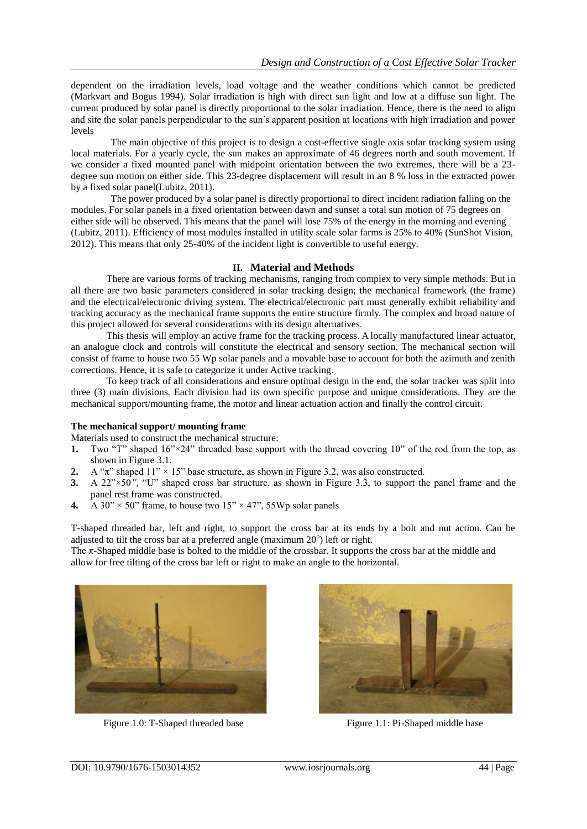dependent on the irradiation levels, load voltage and the weather conditions which cannot be predicted (Markvart and Bogus 1994). Solar irradiation is high with direct sun light and low at a diffuse sun light. The current produced by solar panel is directly proportional to the solar irradiation. Hence, there is the need to align and site the solar panels perpendicular to the sun's apparent position at locations with high irradiation and power levels

The main objective of this project is to design a cost-effective single axis solar tracking system using local materials. For a yearly cycle, the sun makes an approximate of 46 degrees north and south movement. If we consider a fixed mounted panel with midpoint orientation between the two extremes, there will be a 23 degree sun motion on either side. This 23-degree displacement will result in an 8 % loss in the extracted power by a fixed solar panel(Lubitz, 2011).

The power produced by a solar panel is directly proportional to direct incident radiation falling on the modules. For solar panels in a fixed orientation between dawn and sunset a total sun motion of 75 degrees on either side will be observed. This means that the panel will lose 75% of the energy in the morning and evening (Lubitz, 2011). Efficiency of most modules installed in utility scale solar farms is 25% to 40% (SunShot Vision, 2012). This means that only 25-40% of the incident light is convertible to useful energy.

## **II. Material and Methods**

There are various forms of tracking mechanisms, ranging from complex to very simple methods. But in all there are two basic parameters considered in solar tracking design; the mechanical framework (the frame) and the electrical/electronic driving system. The electrical/electronic part must generally exhibit reliability and tracking accuracy as the mechanical frame supports the entire structure firmly. The complex and broad nature of this project allowed for several considerations with its design alternatives.

This thesis will employ an active frame for the tracking process. A locally manufactured linear actuator, an analogue clock and controls will constitute the electrical and sensory section. The mechanical section will consist of frame to house two 55 Wp solar panels and a movable base to account for both the azimuth and zenith corrections. Hence, it is safe to categorize it under Active tracking.

To keep track of all considerations and ensure optimal design in the end, the solar tracker was split into three (3) main divisions. Each division had its own specific purpose and unique considerations. They are the mechanical support/mounting frame, the motor and linear actuation action and finally the control circuit.

#### **The mechanical support/ mounting frame**

Materials used to construct the mechanical structure:

- **1.** Two "T" shaped  $16" \times 24"$  threaded base support with the thread covering 10" of the rod from the top, as shown in Figure 3.1.
- **2.** A " $\pi$ " shaped  $11'' \times 15''$  base structure, as shown in Figure 3.2, was also constructed.
- **3.** A 22"×50*",* "U" shaped cross bar structure, as shown in Figure 3.3, to support the panel frame and the panel rest frame was constructed.
- **4.** A 30"  $\times$  50" frame, to house two 15"  $\times$  47", 55Wp solar panels

T-shaped threaded bar, left and right, to support the cross bar at its ends by a bolt and nut action. Can be adjusted to tilt the cross bar at a preferred angle (maximum  $20^{\circ}$ ) left or right.

The π-Shaped middle base is bolted to the middle of the crossbar. It supports the cross bar at the middle and allow for free tilting of the cross bar left or right to make an angle to the horizontal.



Figure 1.0: T-Shaped threaded base Figure 1.1: Pi-Shaped middle base

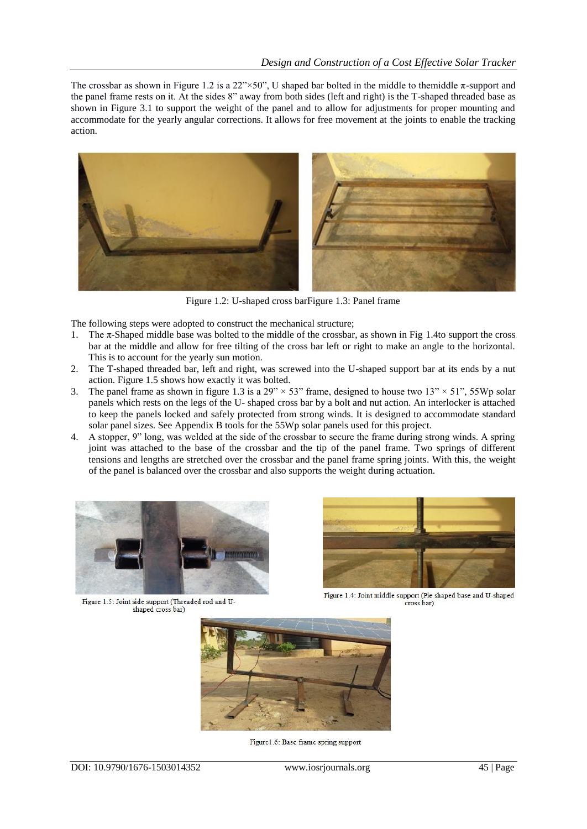The crossbar as shown in Figure 1.2 is a 22"×50". U shaped bar bolted in the middle to themiddle  $\pi$ -support and the panel frame rests on it. At the sides 8" away from both sides (left and right) is the T-shaped threaded base as shown in Figure 3.1 to support the weight of the panel and to allow for adjustments for proper mounting and accommodate for the yearly angular corrections. It allows for free movement at the joints to enable the tracking action.



Figure 1.2: U-shaped cross barFigure 1.3: Panel frame

The following steps were adopted to construct the mechanical structure;

- 1. The π-Shaped middle base was bolted to the middle of the crossbar, as shown in Fig 1.4to support the cross bar at the middle and allow for free tilting of the cross bar left or right to make an angle to the horizontal. This is to account for the yearly sun motion.
- 2. The T-shaped threaded bar, left and right, was screwed into the U-shaped support bar at its ends by a nut action. Figure 1.5 shows how exactly it was bolted.
- 3. The panel frame as shown in figure 1.3 is a  $29'' \times 53''$  frame, designed to house two 13"  $\times$  51", 55Wp solar panels which rests on the legs of the U- shaped cross bar by a bolt and nut action. An interlocker is attached to keep the panels locked and safely protected from strong winds. It is designed to accommodate standard solar panel sizes. See Appendix B tools for the 55Wp solar panels used for this project.
- 4. A stopper, 9" long, was welded at the side of the crossbar to secure the frame during strong winds. A spring joint was attached to the base of the crossbar and the tip of the panel frame. Two springs of different tensions and lengths are stretched over the crossbar and the panel frame spring joints. With this, the weight of the panel is balanced over the crossbar and also supports the weight during actuation.



Figure 1.5: Joint side support (Threaded rod and Ushaped cross bar)



Figure 1.4: Joint middle support (Pie shaped base and U-shaped cross bar)



Figure1.6: Base frame spring support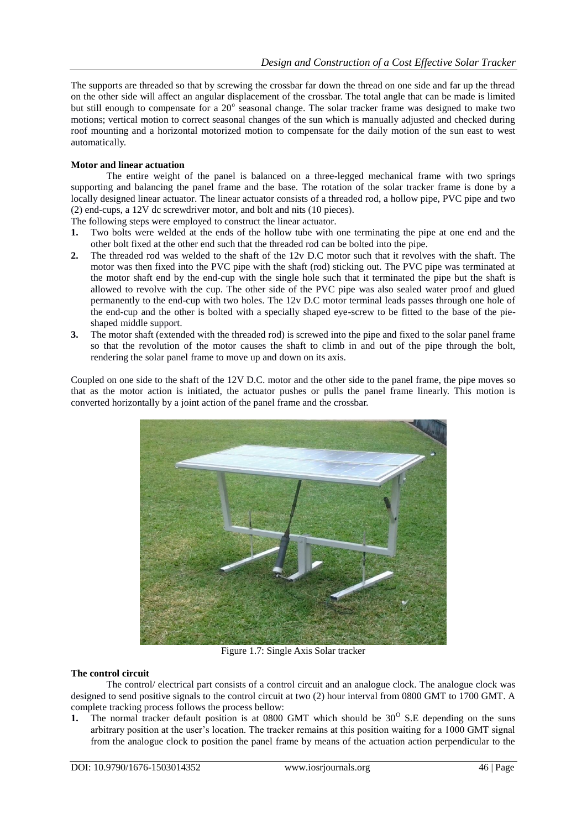The supports are threaded so that by screwing the crossbar far down the thread on one side and far up the thread on the other side will affect an angular displacement of the crossbar. The total angle that can be made is limited but still enough to compensate for a  $20^{\circ}$  seasonal change. The solar tracker frame was designed to make two motions; vertical motion to correct seasonal changes of the sun which is manually adjusted and checked during roof mounting and a horizontal motorized motion to compensate for the daily motion of the sun east to west automatically.

## **Motor and linear actuation**

The entire weight of the panel is balanced on a three-legged mechanical frame with two springs supporting and balancing the panel frame and the base. The rotation of the solar tracker frame is done by a locally designed linear actuator. The linear actuator consists of a threaded rod, a hollow pipe, PVC pipe and two (2) end-cups, a 12V dc screwdriver motor, and bolt and nits (10 pieces).

The following steps were employed to construct the linear actuator.

- **1.** Two bolts were welded at the ends of the hollow tube with one terminating the pipe at one end and the other bolt fixed at the other end such that the threaded rod can be bolted into the pipe.
- **2.** The threaded rod was welded to the shaft of the 12v D.C motor such that it revolves with the shaft. The motor was then fixed into the PVC pipe with the shaft (rod) sticking out. The PVC pipe was terminated at the motor shaft end by the end-cup with the single hole such that it terminated the pipe but the shaft is allowed to revolve with the cup. The other side of the PVC pipe was also sealed water proof and glued permanently to the end-cup with two holes. The 12v D.C motor terminal leads passes through one hole of the end-cup and the other is bolted with a specially shaped eye-screw to be fitted to the base of the pieshaped middle support.
- **3.** The motor shaft (extended with the threaded rod) is screwed into the pipe and fixed to the solar panel frame so that the revolution of the motor causes the shaft to climb in and out of the pipe through the bolt, rendering the solar panel frame to move up and down on its axis.

Coupled on one side to the shaft of the 12V D.C. motor and the other side to the panel frame, the pipe moves so that as the motor action is initiated, the actuator pushes or pulls the panel frame linearly. This motion is converted horizontally by a joint action of the panel frame and the crossbar.



Figure 1.7: Single Axis Solar tracker

#### **The control circuit**

The control/ electrical part consists of a control circuit and an analogue clock. The analogue clock was designed to send positive signals to the control circuit at two (2) hour interval from 0800 GMT to 1700 GMT. A complete tracking process follows the process bellow:

**1.** The normal tracker default position is at  $0800$  GMT which should be  $30^\circ$  S.E depending on the suns arbitrary position at the user's location. The tracker remains at this position waiting for a 1000 GMT signal from the analogue clock to position the panel frame by means of the actuation action perpendicular to the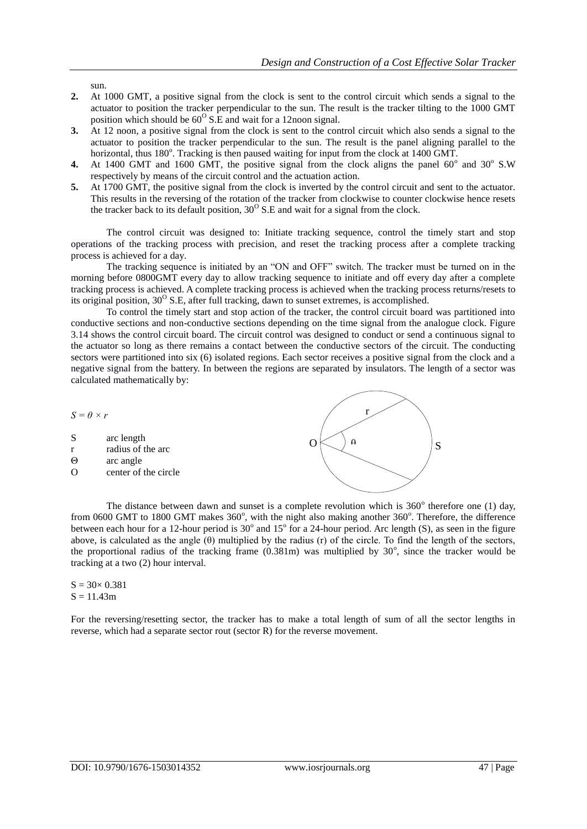sun.

- **2.** At 1000 GMT, a positive signal from the clock is sent to the control circuit which sends a signal to the actuator to position the tracker perpendicular to the sun. The result is the tracker tilting to the 1000 GMT position which should be  $60^{\circ}$  S.E and wait for a 12noon signal.
- **3.** At 12 noon, a positive signal from the clock is sent to the control circuit which also sends a signal to the actuator to position the tracker perpendicular to the sun. The result is the panel aligning parallel to the horizontal, thus 180°. Tracking is then paused waiting for input from the clock at 1400 GMT.
- 4. At 1400 GMT and 1600 GMT, the positive signal from the clock aligns the panel  $60^{\circ}$  and  $30^{\circ}$  S.W respectively by means of the circuit control and the actuation action.
- **5.** At 1700 GMT, the positive signal from the clock is inverted by the control circuit and sent to the actuator. This results in the reversing of the rotation of the tracker from clockwise to counter clockwise hence resets the tracker back to its default position,  $30^{\circ}$  S.E and wait for a signal from the clock.

The control circuit was designed to: Initiate tracking sequence, control the timely start and stop operations of the tracking process with precision, and reset the tracking process after a complete tracking process is achieved for a day.

The tracking sequence is initiated by an "ON and OFF" switch. The tracker must be turned on in the morning before 0800GMT every day to allow tracking sequence to initiate and off every day after a complete tracking process is achieved. A complete tracking process is achieved when the tracking process returns/resets to its original position,  $30^{\circ}$  S.E, after full tracking, dawn to sunset extremes, is accomplished.

To control the timely start and stop action of the tracker, the control circuit board was partitioned into conductive sections and non-conductive sections depending on the time signal from the analogue clock. Figure 3.14 shows the control circuit board. The circuit control was designed to conduct or send a continuous signal to the actuator so long as there remains a contact between the conductive sectors of the circuit. The conducting sectors were partitioned into six (6) isolated regions. Each sector receives a positive signal from the clock and a negative signal from the battery. In between the regions are separated by insulators. The length of a sector was calculated mathematically by:

*S = θ × r*

- S arc length
- r radius of the arc
- Θ arc angle

O center of the circle



The distance between dawn and sunset is a complete revolution which is  $360^\circ$  therefore one (1) day, from 0600 GMT to 1800 GMT makes 360°, with the night also making another 360°. Therefore, the difference between each hour for a 12-hour period is  $30^{\circ}$  and  $15^{\circ}$  for a 24-hour period. Arc length (S), as seen in the figure above, is calculated as the angle (θ) multiplied by the radius (r) of the circle. To find the length of the sectors, the proportional radius of the tracking frame  $(0.381m)$  was multiplied by  $30^{\circ}$ , since the tracker would be tracking at a two (2) hour interval.

 $S = 30 \times 0.381$  $S = 11.43m$ 

For the reversing/resetting sector, the tracker has to make a total length of sum of all the sector lengths in reverse, which had a separate sector rout (sector R) for the reverse movement.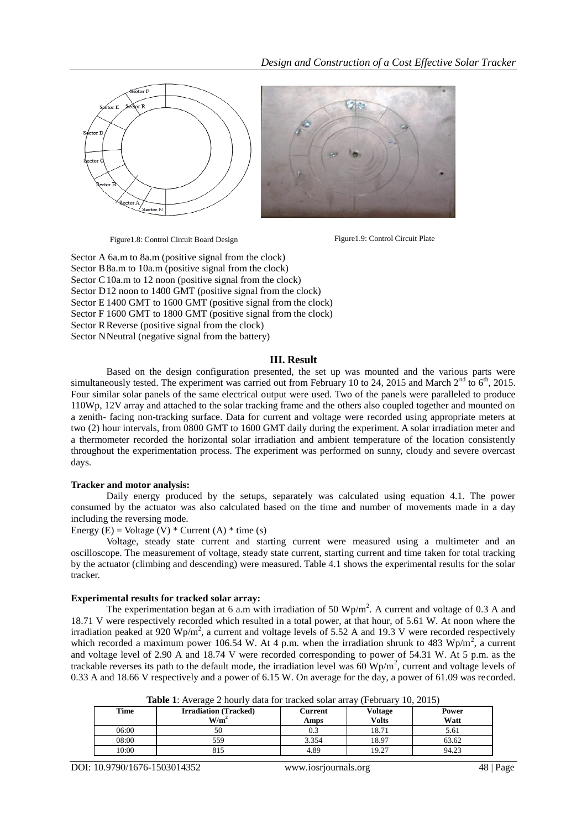



Figure1.8: Control Circuit Board Design Figure1.9: Control Circuit Plate

Sector A 6a.m to 8a.m (positive signal from the clock) Sector B 8a.m to 10a.m (positive signal from the clock) Sector C<sub>10</sub>a.m to 12 noon (positive signal from the clock) Sector D12 noon to 1400 GMT (positive signal from the clock) Sector E 1400 GMT to 1600 GMT (positive signal from the clock) Sector F 1600 GMT to 1800 GMT (positive signal from the clock) Sector RReverse (positive signal from the clock) Sector NNeutral (negative signal from the battery)

#### **III. Result**

Based on the design configuration presented, the set up was mounted and the various parts were simultaneously tested. The experiment was carried out from February 10 to 24, 2015 and March 2<sup>nd</sup> to 6<sup>th</sup>, 2015. Four similar solar panels of the same electrical output were used. Two of the panels were paralleled to produce 110Wp, 12V array and attached to the solar tracking frame and the others also coupled together and mounted on a zenith- facing non-tracking surface. Data for current and voltage were recorded using appropriate meters at two (2) hour intervals, from 0800 GMT to 1600 GMT daily during the experiment. A solar irradiation meter and a thermometer recorded the horizontal solar irradiation and ambient temperature of the location consistently throughout the experimentation process. The experiment was performed on sunny, cloudy and severe overcast days.

## **Tracker and motor analysis:**

Daily energy produced by the setups, separately was calculated using equation 4.1. The power consumed by the actuator was also calculated based on the time and number of movements made in a day including the reversing mode.

Energy  $(E)$  = Voltage  $(V)$  \* Current  $(A)$  \* time  $(s)$ 

Voltage, steady state current and starting current were measured using a multimeter and an oscilloscope. The measurement of voltage, steady state current, starting current and time taken for total tracking by the actuator (climbing and descending) were measured. Table 4.1 shows the experimental results for the solar tracker.

#### **Experimental results for tracked solar array:**

The experimentation began at 6 a.m with irradiation of 50  $Wp/m^2$ . A current and voltage of 0.3 A and 18.71 V were respectively recorded which resulted in a total power, at that hour, of 5.61 W. At noon where the irradiation peaked at 920 Wp/m<sup>2</sup>, a current and voltage levels of 5.52 A and 19.3 V were recorded respectively which recorded a maximum power 106.54 W. At 4 p.m. when the irradiation shrunk to 483 Wp/m<sup>2</sup>, a current and voltage level of 2.90 A and 18.74 V were recorded corresponding to power of 54.31 W. At 5 p.m. as the trackable reverses its path to the default mode, the irradiation level was 60  $Wp/m^2$ , current and voltage levels of 0.33 A and 18.66 V respectively and a power of 6.15 W. On average for the day, a power of 61.09 was recorded.

|    | <b>Table 1:</b> Average 2 hourly data for tracked solar array (February 10, 2015) |         |                |     |
|----|-----------------------------------------------------------------------------------|---------|----------------|-----|
| ne | <b>Irradiation</b> (Tracked)                                                      | Current | <b>Voltage</b> | Pow |

| Time  | <b>Irradiation (Tracked)</b><br>W/m <sup>2</sup> | Current<br>Amps | Voltage<br><b>Volts</b> | Power<br>Watt |
|-------|--------------------------------------------------|-----------------|-------------------------|---------------|
| 06:00 | 50                                               | 0.3             | 18.71                   | 5.61          |
| 08:00 | 559                                              | 3.354           | 18.97                   | 63.62         |
| 10:00 | 815                                              | 4.89            | 19.27                   | 94.23         |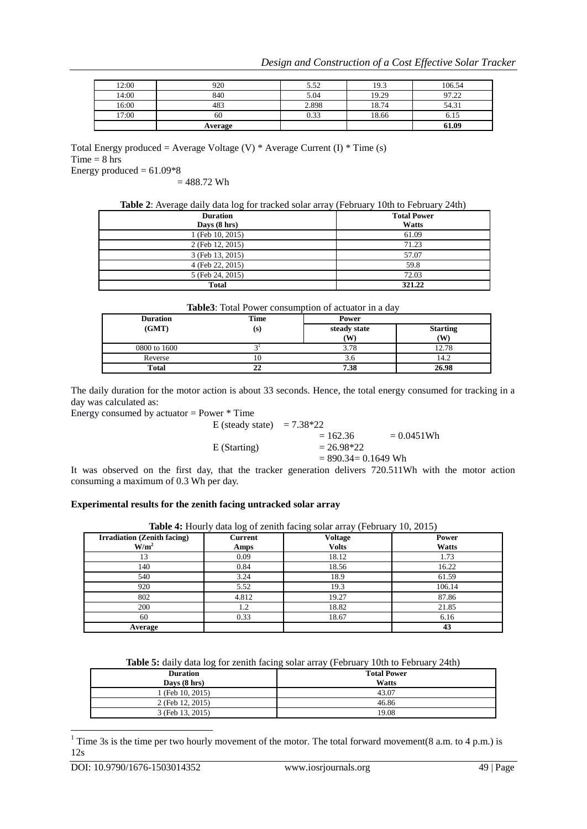| 12:00 | 920     | 5.52  | 19.3  | 106.54 |
|-------|---------|-------|-------|--------|
| 14:00 | 840     | 5.04  | 19.29 | 97.22  |
| 16:00 | 483     | 2.898 | 18.74 | 54.31  |
| 17:00 | 60      | 0.33  | 18.66 | 0.12   |
|       | Average |       |       | 61.09  |

Total Energy produced = Average Voltage (V)  $*$  Average Current (I)  $*$  Time (s)  $Time = 8 hrs$ 

Energy produced  $= 61.09*8$  $= 488.72$  Wh

| <b>Duration</b>        | <b>Total Power</b> |
|------------------------|--------------------|
| Days $(8 \text{ hrs})$ | <b>Watts</b>       |
| 1 (Feb 10, 2015)       | 61.09              |
| 2 (Feb 12, 2015)       | 71.23              |
| 3 (Feb 13, 2015)       | 57.07              |
| 4 (Feb 22, 2015)       | 59.8               |
| 5 (Feb 24, 2015)       | 72.03              |
| <b>Total</b>           | 321.22             |

| Table3: Total Power consumption of actuator in a day |  |  |
|------------------------------------------------------|--|--|
|------------------------------------------------------|--|--|

| <b>Duration</b> | Time | Power              |                       |
|-----------------|------|--------------------|-----------------------|
| (GMT)           | (s)  | steady state<br>(W | <b>Starting</b><br>W) |
| 0800 to 1600    |      | 3.78               | 12.78                 |
| Reverse         | 10   | s.c                | 14.2                  |
| <b>Total</b>    | 22   | 7.38               | 26.98                 |

The daily duration for the motor action is about 33 seconds. Hence, the total energy consumed for tracking in a day was calculated as:

Energy consumed by actuator = Power \* Time

E (steady state)  $= 7.38*22$ 

 $= 162.36 = 0.0451Wh$  $E (Starting) = 26.98*22$  $= 890.34 = 0.1649$  Wh

It was observed on the first day, that the tracker generation delivers 720.511Wh with the motor action consuming a maximum of 0.3 Wh per day.

## **Experimental results for the zenith facing untracked solar array**

| Table 4: Hourly data log of zenith facing solar array (February 10, 2015) |  |
|---------------------------------------------------------------------------|--|
|---------------------------------------------------------------------------|--|

| <b>Irradiation (Zenith facing)</b> | Current | <b>Voltage</b> | Power  |
|------------------------------------|---------|----------------|--------|
| W/m <sup>2</sup>                   | Amps    | <b>Volts</b>   | Watts  |
| 13                                 | 0.09    | 18.12          | 1.73   |
| 140                                | 0.84    | 18.56          | 16.22  |
| 540                                | 3.24    | 18.9           | 61.59  |
| 920                                | 5.52    | 19.3           | 106.14 |
| 802                                | 4.812   | 19.27          | 87.86  |
| 200                                | 1.2     | 18.82          | 21.85  |
| 60                                 | 0.33    | 18.67          | 6.16   |
| Average                            |         |                | 43     |

|  | Table 5: daily data log for zenith facing solar array (February 10th to February 24th) |  |
|--|----------------------------------------------------------------------------------------|--|
|--|----------------------------------------------------------------------------------------|--|

| <b>Duration</b>        | <b>Total Power</b> |
|------------------------|--------------------|
| Days $(8 \text{ hrs})$ | Watts              |
| (Feb 10, 2015)         | 43.07              |
| 2 (Feb 12, 2015)       | 46.86              |
| 3 (Feb 13, 2015)       | 19.08              |

<sup>&</sup>lt;sup>1</sup> Time 3s is the time per two hourly movement of the motor. The total forward movement(8 a.m. to 4 p.m.) is 12s

1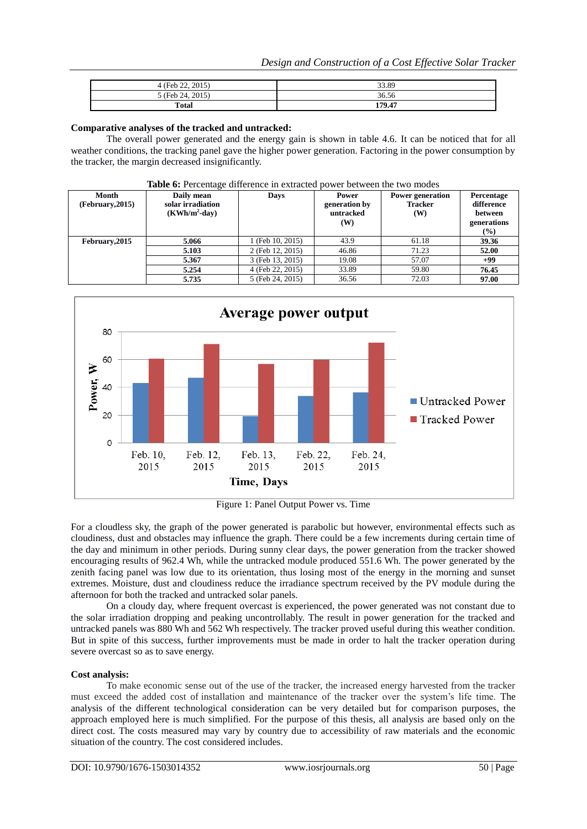| 22, 2015<br>$4$ (Feb $2^{\circ}$ ) | 33.89  |
|------------------------------------|--------|
| 5 (Feb 24, 2015)                   | 36.56  |
| Total                              | 179.47 |

### **Comparative analyses of the tracked and untracked:**

The overall power generated and the energy gain is shown in table 4.6. It can be noticed that for all weather conditions, the tracking panel gave the higher power generation. Factoring in the power consumption by the tracker, the margin decreased insignificantly.

| <b>THERE</b> OF I CRECIMILY GITTCHING IN CALIGRAPH POWER DOLLARS THOMAS |                                                     |                  |                                            |                                                  |                                                                     |  |  |
|-------------------------------------------------------------------------|-----------------------------------------------------|------------------|--------------------------------------------|--------------------------------------------------|---------------------------------------------------------------------|--|--|
| Month<br>(February, 2015)                                               | Daily mean<br>solar irradiation<br>$(KWh/m^2$ -day) | Days             | Power<br>generation by<br>untracked<br>(W) | <b>Power generation</b><br><b>Tracker</b><br>(W) | Percentage<br>difference<br>between<br>generations<br>$\frac{9}{6}$ |  |  |
| February, 2015                                                          | 5.066                                               | 1 (Feb 10, 2015) | 43.9                                       | 61.18                                            | 39.36                                                               |  |  |
|                                                                         | 5.103                                               | 2 (Feb 12, 2015) | 46.86                                      | 71.23                                            | 52.00                                                               |  |  |
|                                                                         | 5.367                                               | 3 (Feb 13, 2015) | 19.08                                      | 57.07                                            | $+99$                                                               |  |  |
|                                                                         | 5.254                                               | 4 (Feb 22, 2015) | 33.89                                      | 59.80                                            | 76.45                                                               |  |  |
|                                                                         | 5.735                                               | 5 (Feb 24, 2015) | 36.56                                      | 72.03                                            | 97.00                                                               |  |  |

## **Table 6:** Percentage difference in extracted power between the two modes



Figure 1: Panel Output Power vs. Time

For a cloudless sky, the graph of the power generated is parabolic but however, environmental effects such as cloudiness, dust and obstacles may influence the graph. There could be a few increments during certain time of the day and minimum in other periods. During sunny clear days, the power generation from the tracker showed encouraging results of 962.4 Wh, while the untracked module produced 551.6 Wh. The power generated by the zenith facing panel was low due to its orientation, thus losing most of the energy in the morning and sunset extremes. Moisture, dust and cloudiness reduce the irradiance spectrum received by the PV module during the afternoon for both the tracked and untracked solar panels.

On a cloudy day, where frequent overcast is experienced, the power generated was not constant due to the solar irradiation dropping and peaking uncontrollably. The result in power generation for the tracked and untracked panels was 880 Wh and 562 Wh respectively. The tracker proved useful during this weather condition. But in spite of this success, further improvements must be made in order to halt the tracker operation during severe overcast so as to save energy.

#### **Cost analysis:**

To make economic sense out of the use of the tracker, the increased energy harvested from the tracker must exceed the added cost of installation and maintenance of the tracker over the system's life time. The analysis of the different technological consideration can be very detailed but for comparison purposes, the approach employed here is much simplified. For the purpose of this thesis, all analysis are based only on the direct cost. The costs measured may vary by country due to accessibility of raw materials and the economic situation of the country. The cost considered includes.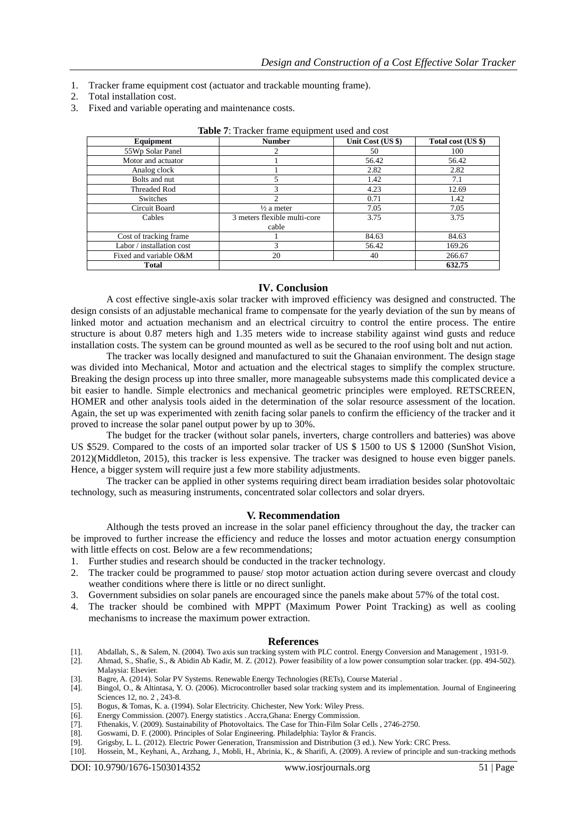- 1. Tracker frame equipment cost (actuator and trackable mounting frame).
- 2. Total installation cost.
- 3. Fixed and variable operating and maintenance costs.

| Equipment                 | <b>Number</b>                | Unit Cost (US \$) | Total cost (US \$) |  |
|---------------------------|------------------------------|-------------------|--------------------|--|
| 55Wp Solar Panel          |                              | 50                | 100                |  |
| Motor and actuator        |                              | 56.42             | 56.42              |  |
| Analog clock              |                              | 2.82              | 2.82               |  |
| Bolts and nut             |                              | 1.42              | 7.1                |  |
| <b>Threaded Rod</b>       | 3                            | 4.23              | 12.69              |  |
| Switches                  | 2                            | 0.71              | 1.42               |  |
| Circuit Board             | $\frac{1}{2}$ a meter        | 7.05              | 7.05               |  |
| Cables                    | 3 meters flexible multi-core | 3.75              | 3.75               |  |
|                           | cable                        |                   |                    |  |
| Cost of tracking frame    |                              | 84.63             | 84.63              |  |
| Labor / installation cost |                              | 56.42             | 169.26             |  |
| Fixed and variable O&M    | 20                           | 40                | 266.67             |  |
| Total                     |                              |                   | 632.75             |  |

| Table 7: Tracker frame equipment used and cost |  |  |  |
|------------------------------------------------|--|--|--|
|------------------------------------------------|--|--|--|

#### **IV. Conclusion**

A cost effective single-axis solar tracker with improved efficiency was designed and constructed. The design consists of an adjustable mechanical frame to compensate for the yearly deviation of the sun by means of linked motor and actuation mechanism and an electrical circuitry to control the entire process. The entire structure is about 0.87 meters high and 1.35 meters wide to increase stability against wind gusts and reduce installation costs. The system can be ground mounted as well as be secured to the roof using bolt and nut action.

The tracker was locally designed and manufactured to suit the Ghanaian environment. The design stage was divided into Mechanical, Motor and actuation and the electrical stages to simplify the complex structure. Breaking the design process up into three smaller, more manageable subsystems made this complicated device a bit easier to handle. Simple electronics and mechanical geometric principles were employed. RETSCREEN, HOMER and other analysis tools aided in the determination of the solar resource assessment of the location. Again, the set up was experimented with zenith facing solar panels to confirm the efficiency of the tracker and it proved to increase the solar panel output power by up to 30%.

The budget for the tracker (without solar panels, inverters, charge controllers and batteries) was above US \$529. Compared to the costs of an imported solar tracker of US \$ 1500 to US \$ 12000 (SunShot Vision, 2012)(Middleton, 2015), this tracker is less expensive. The tracker was designed to house even bigger panels. Hence, a bigger system will require just a few more stability adjustments.

The tracker can be applied in other systems requiring direct beam irradiation besides solar photovoltaic technology, such as measuring instruments, concentrated solar collectors and solar dryers.

#### **V. Recommendation**

Although the tests proved an increase in the solar panel efficiency throughout the day, the tracker can be improved to further increase the efficiency and reduce the losses and motor actuation energy consumption with little effects on cost. Below are a few recommendations;

- 1. Further studies and research should be conducted in the tracker technology.
- 2. The tracker could be programmed to pause/ stop motor actuation action during severe overcast and cloudy weather conditions where there is little or no direct sunlight.
- 3. Government subsidies on solar panels are encouraged since the panels make about 57% of the total cost.
- 4. The tracker should be combined with MPPT (Maximum Power Point Tracking) as well as cooling mechanisms to increase the maximum power extraction.

#### **References**

- [1]. Abdallah, S., & Salem, N. (2004). Two axis sun tracking system with PLC control. Energy Conversion and Management , 1931-9.
- [2]. Ahmad, S., Shafie, S., & Abidin Ab Kadir, M. Z. (2012). Power feasibility of a low power consumption solar tracker. (pp. 494-502). Malaysia: Elsevier.
- [3]. Bagre, A. (2014). Solar PV Systems. Renewable Energy Technologies (RETs), Course Material .
- [4]. Bingol, O., & Altintasa, Y. O. (2006). Microcontroller based solar tracking system and its implementation. Journal of Engineering Sciences 12, no. 2 , 243-8.
- [5]. Bogus, & Tomas, K. a. (1994). Solar Electricity. Chichester, New York: Wiley Press.
- [6]. Energy Commission. (2007). Energy statistics . Accra,Ghana: Energy Commission.
- [7]. Fthenakis, V. (2009). Sustainability of Photovoltaics. The Case for Thin-Film Solar Cells , 2746-2750. [8]. Goswami, D. F. (2000). Principles of Solar Engineering. Philadelphia: Taylor & Francis.
- [8]. Goswami, D. F. (2000). Principles of Solar Engineering. Philadelphia: Taylor & Francis.
- [9]. Grigsby, L. L. (2012). Electric Power Generation, Transmission and Distribution (3 ed.). New York: CRC Press. [10]. Hossein, M., Keyhani, A., Arzhang, J., Mobli, H., Abrinia, K., & Sharifi, A. (2009). A review of principle and sun-tracking methods